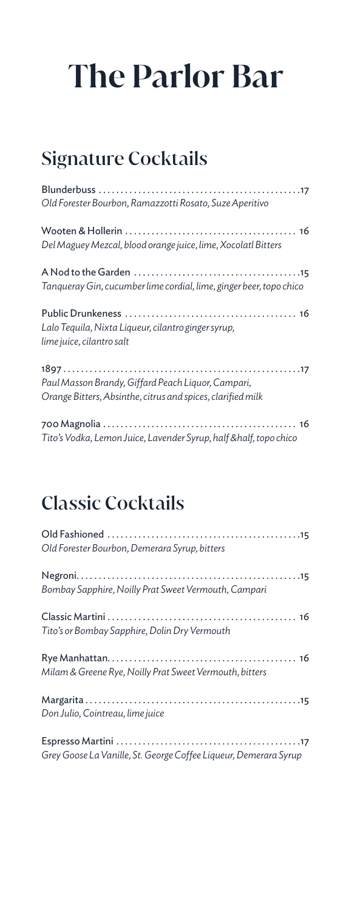## Signature Cocktails

| Old Forester Bourbon, Ramazzotti Rosato, Suze Aperitivo                                                           |
|-------------------------------------------------------------------------------------------------------------------|
| Del Maguey Mezcal, blood orange juice, lime, Xocolatl Bitters                                                     |
| Tanqueray Gin, cucumber lime cordial, lime, ginger beer, topo chico                                               |
| Lalo Tequila, Nixta Liqueur, cilantro ginger syrup,<br>lime juice, cilantro salt                                  |
| Paul Masson Brandy, Giffard Peach Liquor, Campari,<br>Orange Bitters, Absinthe, citrus and spices, clarified milk |
|                                                                                                                   |

*Tito's Vodka, Lemon Juice, Lavender Syrup, half &half, topo chico*

### Classic Cocktails

| Old Forester Bourbon, Demerara Syrup, bitters                    |
|------------------------------------------------------------------|
| Bombay Sapphire, Noilly Prat Sweet Vermouth, Campari             |
| Tito's or Bombay Sapphire, Dolin Dry Vermouth                    |
| Milam & Greene Rye, Noilly Prat Sweet Vermouth, bitters          |
| Don Julio, Cointreau, lime juice                                 |
| Grey Goose La Vanille, St. George Coffee Liqueur, Demerara Syrup |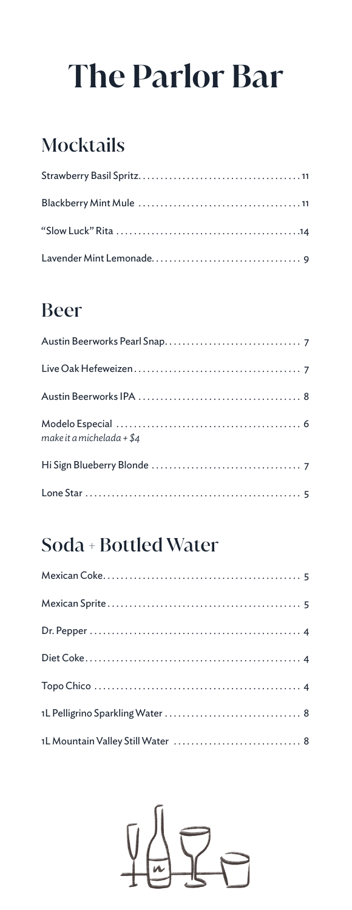## Mocktails

## Beer

| make it a michelada + $$4$ |
|----------------------------|
|                            |
|                            |

## Soda + Bottled Water

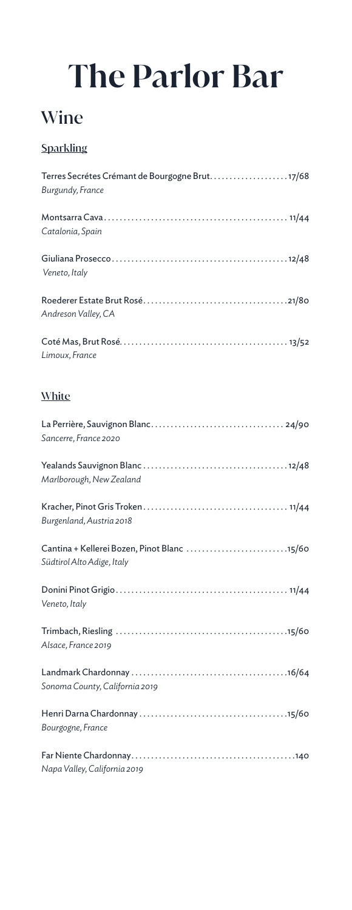### **Wine**

### **Sparkling**

| Burgundy, France    |
|---------------------|
| Catalonia, Spain    |
| Veneto, Italy       |
| Andreson Valley, CA |
| Limoux, France      |
| ----                |

### White

| Sancerre, France 2020                                                     |
|---------------------------------------------------------------------------|
| Marlborough, New Zealand                                                  |
| Burgenland, Austria 2018                                                  |
| Cantina + Kellerei Bozen, Pinot Blanc 15/60<br>Südtirol Alto Adige, Italy |
| Veneto, Italy                                                             |
| Alsace, France 2019                                                       |
| Sonoma County, California 2019                                            |
| Bourgogne, France                                                         |
| Napa Valley, California 2019                                              |